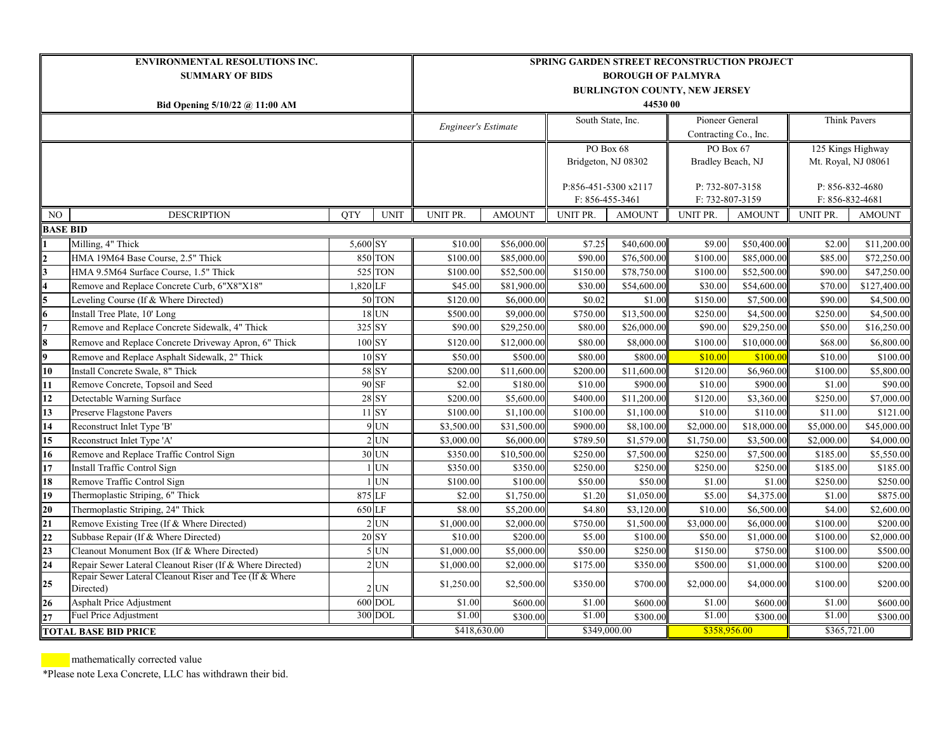| <b>ENVIRONMENTAL RESOLUTIONS INC.</b> |                                                                      |            |                    | SPRING GARDEN STREET RECONSTRUCTION PROJECT |                 |                     |                        |                       |                 |                     |                     |  |  |  |
|---------------------------------------|----------------------------------------------------------------------|------------|--------------------|---------------------------------------------|-----------------|---------------------|------------------------|-----------------------|-----------------|---------------------|---------------------|--|--|--|
| <b>SUMMARY OF BIDS</b>                |                                                                      |            |                    | <b>BOROUGH OF PALMYRA</b>                   |                 |                     |                        |                       |                 |                     |                     |  |  |  |
|                                       |                                                                      |            |                    | <b>BURLINGTON COUNTY, NEW JERSEY</b>        |                 |                     |                        |                       |                 |                     |                     |  |  |  |
| Bid Opening 5/10/22 @ 11:00 AM        |                                                                      |            |                    |                                             | 44530 00        |                     |                        |                       |                 |                     |                     |  |  |  |
|                                       |                                                                      |            |                    |                                             |                 | South State, Inc.   |                        | Pioneer General       |                 |                     | <b>Think Pavers</b> |  |  |  |
|                                       |                                                                      |            |                    | <b>Engineer's Estimate</b>                  |                 |                     |                        | Contracting Co., Inc. |                 |                     |                     |  |  |  |
|                                       |                                                                      |            |                    |                                             | PO Box 68       |                     |                        |                       | PO Box 67       | 125 Kings Highway   |                     |  |  |  |
|                                       |                                                                      |            |                    |                                             |                 | Bridgeton, NJ 08302 |                        | Bradley Beach, NJ     |                 | Mt. Royal, NJ 08061 |                     |  |  |  |
|                                       |                                                                      |            |                    |                                             |                 |                     |                        |                       |                 |                     |                     |  |  |  |
|                                       |                                                                      |            |                    | P:856-451-5300 x2117                        |                 |                     | P: 732-807-3158        |                       | P: 856-832-4680 |                     |                     |  |  |  |
|                                       |                                                                      |            |                    |                                             | F: 856-455-3461 |                     | F: 732-807-3159        |                       | F: 856-832-4681 |                     |                     |  |  |  |
| NO                                    | <b>DESCRIPTION</b>                                                   | <b>QTY</b> | <b>UNIT</b>        | UNIT PR.                                    | <b>AMOUNT</b>   | UNIT PR.            | <b>AMOUNT</b>          | UNIT PR.              | <b>AMOUNT</b>   | UNIT PR.            | <b>AMOUNT</b>       |  |  |  |
| <b>BASE BID</b>                       |                                                                      |            |                    |                                             |                 |                     |                        |                       |                 |                     |                     |  |  |  |
|                                       | Milling, 4" Thick                                                    | 5,600 SY   |                    | \$10.00                                     | \$56,000.00     | \$7.25              | \$40,600.00            | \$9.00                | \$50,400.00     | \$2.00              | \$11,200.00         |  |  |  |
| $\frac{2}{3}$ $\frac{3}{5}$           | HMA 19M64 Base Course, 2.5" Thick                                    |            | <b>850 TON</b>     | \$100.00                                    | \$85,000.00     | \$90.00             | \$76,500.00            | \$100.00              | \$85,000.00     | \$85.00             | \$72,250.00         |  |  |  |
|                                       | HMA 9.5M64 Surface Course, 1.5" Thick                                |            | 525 TON            | \$100.00                                    | \$52,500.00     | \$150.00            | \$78,750.00            | \$100.00              | \$52,500.00     | \$90.00             | \$47,250.00         |  |  |  |
|                                       | Remove and Replace Concrete Curb, 6"X8"X18"                          | 1,820 LF   |                    | \$45.00                                     | \$81,900.00     | \$30.00             | \$54,600.00            | \$30.00               | \$54,600.00     | \$70.00             | \$127,400.00        |  |  |  |
|                                       | Leveling Course (If & Where Directed)                                |            | 50 TON             | \$120.00                                    | \$6,000.00      | \$0.02              | \$1.00                 | \$150.00              | \$7,500.00      | \$90.00             | \$4,500.00          |  |  |  |
| $\frac{6}{7}$                         | Install Tree Plate, 10' Long                                         |            | $18$ UN            | \$500.00                                    | \$9,000.00      | \$750.00            | \$13,500.00            | \$250.00              | \$4,500.00      | \$250.00            | \$4,500.00          |  |  |  |
|                                       | Remove and Replace Concrete Sidewalk, 4" Thick                       | 325 SY     |                    | \$90.00                                     | \$29,250.00     | \$80.00             | \$26,000.00            | \$90.00               | \$29,250.00     | \$50.00             | \$16,250.00         |  |  |  |
| $\overline{\mathbf{8}}$               | Remove and Replace Concrete Driveway Apron, 6" Thick                 |            | $100\;\mathrm{SY}$ | \$120.00                                    | \$12,000.00     | \$80.00             | \$8,000.00             | \$100.00              | \$10,000.00     | \$68.00             | \$6,800.00          |  |  |  |
| 9                                     | Remove and Replace Asphalt Sidewalk, 2" Thick                        |            | $10$ SY            | \$50.00                                     | \$500.00        | \$80.00             | \$800.00               | \$10.00               | \$100.00        | \$10.00             | \$100.00            |  |  |  |
| $\overline{10}$                       | Install Concrete Swale, 8" Thick                                     |            | 58 SY              | \$200.00                                    | \$11,600.00     | \$200.00            | \$11,600.00            | \$120.00              | \$6,960.00      | \$100.00            | \$5,800.00          |  |  |  |
| $\overline{11}$                       | Remove Concrete, Topsoil and Seed                                    |            | 90 SF              | \$2.00                                      | \$180.00        | \$10.00             | \$900.00               | \$10.00               | \$900.00        | \$1.00              | \$90.00             |  |  |  |
| $\overline{12}$                       | Detectable Warning Surface                                           |            | <b>28 SY</b>       | \$200.00                                    | \$5,600.00      | \$400.00            | \$11,200.00            | \$120.00              | \$3,360.00      | \$250.00            | \$7,000.00          |  |  |  |
| $\overline{13}$                       | Preserve Flagstone Pavers                                            |            | $11$ SY            | \$100.00                                    | \$1,100.00      | \$100.00            | \$1,100.00             | \$10.00               | \$110.00        | \$11.00             | \$121.00            |  |  |  |
| $\overline{14}$                       | Reconstruct Inlet Type 'B'                                           |            | $9$ UN             | $\overline{$3,500.00}$                      | \$31,500.00     | \$900.00            | $\overline{$8,100.00}$ | \$2,000.00            | \$18,000.00     | \$5,000.00          | \$45,000.00         |  |  |  |
| $\overline{15}$                       | Reconstruct Inlet Type 'A'                                           |            | $2$ UN             | \$3,000.00                                  | \$6,000.00      | \$789.50            | \$1,579.00             | \$1,750.00            | \$3,500.00      | \$2,000.00          | \$4,000.00          |  |  |  |
| $\overline{16}$                       | Remove and Replace Traffic Control Sign                              |            | 30 UN              | \$350.00                                    | \$10,500.00     | \$250.00            | \$7,500.00             | \$250.00              | \$7,500.00      | \$185.00            | \$5,550.00          |  |  |  |
| $\overline{17}$                       | Install Traffic Control Sign                                         |            | <b>UN</b>          | \$350.00                                    | \$350.00        | \$250.00            | \$250.00               | \$250.00              | \$250.00        | \$185.00            | \$185.00            |  |  |  |
| 18                                    | Remove Traffic Control Sign                                          |            | <b>UN</b>          | \$100.00                                    | \$100.00        | \$50.00             | \$50.00                | \$1.00                | \$1.00          | \$250.00            | \$250.00            |  |  |  |
| $\overline{19}$                       | Thermoplastic Striping, 6" Thick                                     | 875 LF     |                    | \$2.00                                      | \$1,750.00      | \$1.20              | \$1,050.00             | \$5.00                | \$4,375.00      | \$1.00              | \$875.00            |  |  |  |
| $\frac{20}{21}$<br>$\frac{22}{23}$    | Thermoplastic Striping, 24" Thick                                    | 650 LF     |                    | \$8.00                                      | \$5,200.00      | \$4.80              | \$3,120.00             | \$10.00               | \$6,500.00      | \$4.00              | \$2,600.00          |  |  |  |
|                                       | Remove Existing Tree (If & Where Directed)                           |            | $2$ UN             | \$1,000.00                                  | \$2,000.00      | \$750.00            | \$1,500.00             | \$3,000.00            | \$6,000.00      | \$100.00            | \$200.00            |  |  |  |
|                                       | Subbase Repair (If & Where Directed)                                 |            | 20 SY              | \$10.00                                     | \$200.00        | \$5.00              | \$100.00               | \$50.00               | \$1,000.00      | \$100.00            | \$2,000.00          |  |  |  |
|                                       | Cleanout Monument Box (If & Where Directed)                          |            | $5$ UN             | \$1,000.00                                  | \$5,000.00      | \$50.00             | \$250.00               | \$150.00              | \$750.00        | \$100.00            | \$500.00            |  |  |  |
| $\overline{24}$                       | Repair Sewer Lateral Cleanout Riser (If & Where Directed)            |            | $2$ UN             | \$1,000.00                                  | \$2,000.00      | \$175.00            | \$350.00               | \$500.00              | \$1,000.00      | \$100.00            | \$200.00            |  |  |  |
| 25                                    | Repair Sewer Lateral Cleanout Riser and Tee (If & Where<br>Directed) |            | $2$ UN             | \$1,250.00                                  | \$2,500.00      | \$350.00            | \$700.00               | \$2,000.00            | \$4,000.00      | \$100.00            | \$200.00            |  |  |  |
| $\frac{26}{27}$                       | Asphalt Price Adjustment                                             |            | 600 DOL            | \$1.00                                      | \$600.00        | \$1.00              | \$600.00               | \$1.00                | \$600.00        | \$1.00              | \$600.00            |  |  |  |
|                                       | Fuel Price Adjustment                                                |            | 300 DOL            | \$1.00                                      | \$300.00        | \$1.00              | \$300.00               | \$1.00                | \$300.00        | \$1.00              | \$300.00            |  |  |  |
| <b>TOTAL BASE BID PRICE</b>           |                                                                      |            |                    | \$418,630.00                                |                 | \$349,000.00        |                        | \$358,956.00          |                 | \$365,721.00        |                     |  |  |  |

mathematically corrected value

\*Please note Lexa Concrete, LLC has withdrawn their bid.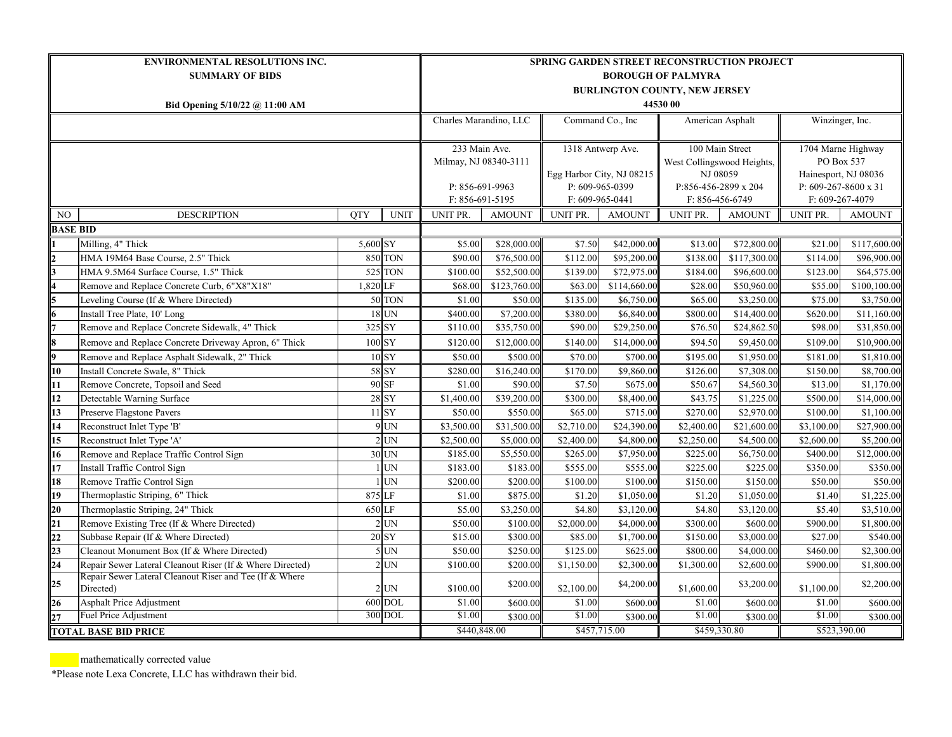| <b>ENVIRONMENTAL RESOLUTIONS INC.</b> |                                                                      |                           |                            | <b>SPRING GARDEN STREET RECONSTRUCTION PROJECT</b> |                       |                           |                   |                            |                      |                      |                      |  |  |  |
|---------------------------------------|----------------------------------------------------------------------|---------------------------|----------------------------|----------------------------------------------------|-----------------------|---------------------------|-------------------|----------------------------|----------------------|----------------------|----------------------|--|--|--|
| <b>SUMMARY OF BIDS</b>                |                                                                      |                           |                            | <b>BOROUGH OF PALMYRA</b>                          |                       |                           |                   |                            |                      |                      |                      |  |  |  |
|                                       |                                                                      |                           |                            | <b>BURLINGTON COUNTY, NEW JERSEY</b>               |                       |                           |                   |                            |                      |                      |                      |  |  |  |
| Bid Opening 5/10/22 @ 11:00 AM        |                                                                      |                           |                            |                                                    | 44530 00              |                           |                   |                            |                      |                      |                      |  |  |  |
|                                       |                                                                      |                           |                            | Charles Marandino, LLC<br>Command Co., Inc.        |                       |                           | American Asphalt  |                            | Winzinger, Inc.      |                      |                      |  |  |  |
|                                       |                                                                      |                           |                            |                                                    |                       |                           |                   |                            |                      |                      |                      |  |  |  |
|                                       |                                                                      |                           |                            |                                                    | 233 Main Ave.         |                           | 1318 Antwerp Ave. |                            | 100 Main Street      |                      | 1704 Marne Highway   |  |  |  |
|                                       |                                                                      |                           |                            |                                                    | Milmay, NJ 08340-3111 |                           |                   | West Collingswood Heights, |                      | PO Box 537           |                      |  |  |  |
|                                       |                                                                      |                           |                            |                                                    |                       | Egg Harbor City, NJ 08215 |                   | NJ 08059                   |                      | Hainesport, NJ 08036 |                      |  |  |  |
|                                       |                                                                      |                           |                            |                                                    | P: 856-691-9963       |                           | P: 609-965-0399   |                            | P:856-456-2899 x 204 |                      | P: 609-267-8600 x 31 |  |  |  |
|                                       |                                                                      |                           |                            | F: 856-691-5195                                    |                       | F: 609-965-0441           |                   | F: 856-456-6749            |                      | F: 609-267-4079      |                      |  |  |  |
| NO                                    | <b>DESCRIPTION</b>                                                   | <b>OTY</b><br><b>UNIT</b> |                            | UNIT PR.                                           | <b>AMOUNT</b>         | UNIT PR.                  | <b>AMOUNT</b>     | UNIT PR.                   | <b>AMOUNT</b>        | UNIT PR.             | <b>AMOUNT</b>        |  |  |  |
| <b>BASE BID</b>                       |                                                                      |                           |                            |                                                    |                       |                           |                   |                            |                      |                      |                      |  |  |  |
|                                       | Milling, 4" Thick                                                    | 5,600 SY                  |                            | \$5.00                                             | \$28,000.00           | \$7.50                    | \$42,000.00       | \$13.00                    | \$72,800.00          | \$21.00              | \$117,600.00         |  |  |  |
|                                       | HMA 19M64 Base Course, 2.5" Thick                                    |                           | <b>850 TON</b>             | \$90.00                                            | \$76,500.00           | \$112.00                  | \$95,200.00       | \$138.00                   | \$117,300.00         | \$114.00             | \$96,900.00          |  |  |  |
|                                       | HMA 9.5M64 Surface Course, 1.5" Thick                                |                           | <b>525 TON</b>             | \$100.00                                           | \$52,500.00           | \$139.00                  | \$72,975.00       | \$184.00                   | \$96,600.00          | \$123.00             | \$64,575.00          |  |  |  |
|                                       | Remove and Replace Concrete Curb, 6"X8"X18"                          | 1,820 LF                  |                            | \$68.00                                            | \$123,760.00          | \$63.00                   | \$114,660.00      | \$28.00                    | \$50,960.00          | \$55.00              | \$100,100.00         |  |  |  |
| 5                                     | Leveling Course (If & Where Directed)                                |                           | 50 TON                     | \$1.00                                             | \$50.00               | \$135.00                  | \$6,750.00        | \$65.00                    | \$3,250.00           | \$75.00              | \$3,750.00           |  |  |  |
| 6                                     | Install Tree Plate, 10' Long                                         |                           | 18 UN                      | \$400.00                                           | \$7,200.00            | \$380.00                  | \$6,840.00        | \$800.00                   | \$14,400.00          | \$620.00             | \$11,160.00          |  |  |  |
|                                       | Remove and Replace Concrete Sidewalk, 4" Thick                       |                           | 325 SY                     | \$110.00                                           | \$35,750.00           | \$90.00                   | \$29,250.00       | \$76.50                    | \$24,862.50          | \$98.00              | \$31,850.00          |  |  |  |
| 8                                     | Remove and Replace Concrete Driveway Apron, 6" Thick                 |                           | $100$ SY                   | \$120.00                                           | \$12,000.00           | \$140.00                  | \$14,000.00       | \$94.50                    | \$9,450.00           | \$109.00             | \$10,900.00          |  |  |  |
| Q.                                    | Remove and Replace Asphalt Sidewalk, 2" Thick                        |                           | $10$ SY                    | \$50.00                                            | \$500.00              | \$70.00                   | \$700.00          | \$195.00                   | \$1,950.00           | \$181.00             | \$1,810.00           |  |  |  |
| 10                                    | Install Concrete Swale, 8" Thick                                     |                           | 58 SY                      | \$280.00                                           | \$16,240.00           | \$170.00                  | \$9,860.00        | \$126.00                   | \$7,308.00           | \$150.00             | \$8,700.00           |  |  |  |
| 11                                    | Remove Concrete, Topsoil and Seed                                    |                           | 90 SF                      | \$1.00                                             | \$90.00               | \$7.50                    | \$675.00          | \$50.67                    | \$4,560.30           | \$13.00              | \$1,170.00           |  |  |  |
| 12                                    | Detectable Warning Surface                                           |                           | $28\overline{\mathrm{SY}}$ | \$1,400.00                                         | \$39,200.00           | \$300.00                  | \$8,400.00        | \$43.75                    | \$1,225.00           | \$500.00             | \$14,000.00          |  |  |  |
| 13                                    | Preserve Flagstone Pavers                                            |                           | $11$ SY                    | \$50.00                                            | \$550.00              | \$65.00                   | \$715.00          | \$270.00                   | \$2,970.00           | \$100.00             | \$1,100.00           |  |  |  |
| 14                                    | Reconstruct Inlet Type 'B'                                           |                           | $9$ UN                     | \$3,500.00                                         | \$31,500.00           | \$2,710.00                | \$24,390.00       | \$2,400.00                 | \$21,600.00          | \$3,100.00           | \$27,900.00          |  |  |  |
| 15                                    | Reconstruct Inlet Type 'A'                                           |                           | $2$ UN                     | \$2,500.00                                         | \$5,000.00            | \$2,400.00                | \$4,800.00        | \$2,250.00                 | \$4,500.00           | \$2,600.00           | \$5,200.00           |  |  |  |
| 16                                    | Remove and Replace Traffic Control Sign                              |                           | 30 UN                      | \$185.00                                           | \$5,550.00            | \$265.00                  | \$7,950.00        | \$225.00                   | \$6,750.00           | \$400.00             | \$12,000.00          |  |  |  |
| 17                                    | Install Traffic Control Sign                                         |                           | $1$ UN                     | \$183.00                                           | \$183.00              | \$555.00                  | \$555.00          | \$225.00                   | \$225.00             | \$350.00             | \$350.00             |  |  |  |
| 18                                    | Remove Traffic Control Sign                                          |                           | $1$ UN                     | \$200.00                                           | \$200.00              | \$100.00                  | \$100.00          | \$150.00                   | \$150.00             | \$50.00              | \$50.00              |  |  |  |
| 19                                    | Thermoplastic Striping, 6" Thick                                     |                           | 875 LF                     | \$1.00                                             | \$875.00              | \$1.20                    | \$1,050.00        | \$1.20                     | \$1,050.00           | \$1.40               | \$1,225.00           |  |  |  |
| 20 <sub>1</sub>                       | Thermoplastic Striping, 24" Thick                                    |                           | 650 LF                     | \$5.00                                             | \$3,250.00            | \$4.80                    | \$3,120.00        | \$4.80                     | \$3,120.00           | \$5.40               | \$3,510.00           |  |  |  |
| 21                                    | Remove Existing Tree (If & Where Directed)                           |                           | $2$ UN                     | \$50.00                                            | \$100.00              | \$2,000.00                | \$4,000.00        | \$300.00                   | \$600.00             | \$900.00             | \$1,800.00           |  |  |  |
| $\overline{22}$                       | Subbase Repair (If & Where Directed)                                 |                           | 20 SY                      | \$15.00                                            | \$300.00              | \$85.00                   | \$1,700.00        | \$150.00                   | \$3,000.00           | \$27.00              | \$540.00             |  |  |  |
| 23                                    | Cleanout Monument Box (If & Where Directed)                          |                           | $5$ UN                     | \$50.00                                            | \$250.00              | \$125.00                  | \$625.00          | \$800.00                   | \$4,000.00           | \$460.00             | \$2,300.00           |  |  |  |
| 24                                    | Repair Sewer Lateral Cleanout Riser (If & Where Directed)            |                           | $2$ UN                     | \$100.00                                           | \$200.00              | \$1,150.00                | \$2,300.00        | \$1,300.00                 | \$2,600.00           | \$900.00             | \$1,800.00           |  |  |  |
| 25                                    | Repair Sewer Lateral Cleanout Riser and Tee (If & Where<br>Directed) |                           | $2$ UN                     | \$100.00                                           | \$200.00              | \$2,100.00                | \$4,200.00        | \$1,600.00                 | \$3,200.00           | \$1,100.00           | \$2,200.00           |  |  |  |
| 26                                    | Asphalt Price Adjustment                                             |                           | 600 DOL                    | \$1.00                                             | \$600.00              | \$1.00                    | \$600.00          | \$1.00                     | \$600.00             | \$1.00               | \$600.00             |  |  |  |
| 27                                    | Fuel Price Adjustment                                                |                           | 300 DOL                    | \$1.00                                             | \$300.00              | \$1.00                    | \$300.00          | \$1.00                     | \$300.00             | \$1.00               | \$300.00             |  |  |  |
| TOTAL BASE BID PRICE                  |                                                                      |                           |                            |                                                    | \$440,848.00          | \$457,715.00              |                   | \$459,330.80               |                      | \$523,390.00         |                      |  |  |  |

mathematically corrected value

\*Please note Lexa Concrete, LLC has withdrawn their bid.